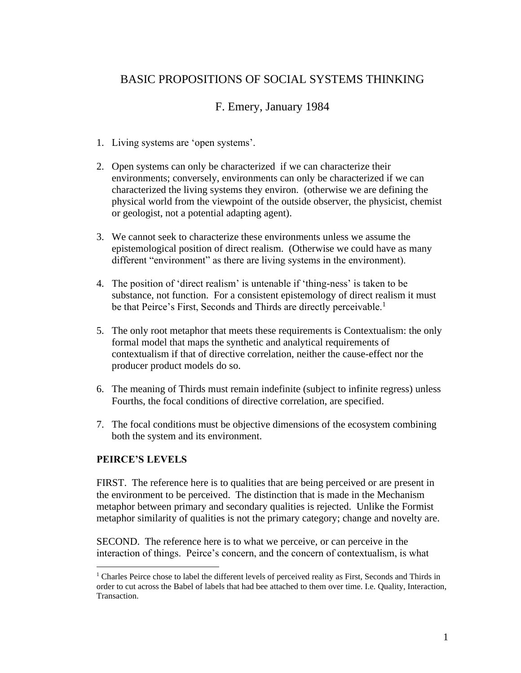## BASIC PROPOSITIONS OF SOCIAL SYSTEMS THINKING

## F. Emery, January 1984

- 1. Living systems are 'open systems'.
- 2. Open systems can only be characterized if we can characterize their environments; conversely, environments can only be characterized if we can characterized the living systems they environ. (otherwise we are defining the physical world from the viewpoint of the outside observer, the physicist, chemist or geologist, not a potential adapting agent).
- 3. We cannot seek to characterize these environments unless we assume the epistemological position of direct realism. (Otherwise we could have as many different "environment" as there are living systems in the environment).
- 4. The position of 'direct realism' is untenable if 'thing-ness' is taken to be substance, not function. For a consistent epistemology of direct realism it must be that Peirce's First, Seconds and Thirds are directly perceivable.<sup>1</sup>
- 5. The only root metaphor that meets these requirements is Contextualism: the only formal model that maps the synthetic and analytical requirements of contextualism if that of directive correlation, neither the cause-effect nor the producer product models do so.
- 6. The meaning of Thirds must remain indefinite (subject to infinite regress) unless Fourths, the focal conditions of directive correlation, are specified.
- 7. The focal conditions must be objective dimensions of the ecosystem combining both the system and its environment.

## **PEIRCE'S LEVELS**

FIRST. The reference here is to qualities that are being perceived or are present in the environment to be perceived. The distinction that is made in the Mechanism metaphor between primary and secondary qualities is rejected. Unlike the Formist metaphor similarity of qualities is not the primary category; change and novelty are.

SECOND. The reference here is to what we perceive, or can perceive in the interaction of things. Peirce's concern, and the concern of contextualism, is what

 $1$  Charles Peirce chose to label the different levels of perceived reality as First, Seconds and Thirds in order to cut across the Babel of labels that had bee attached to them over time. I.e. Quality, Interaction, Transaction.